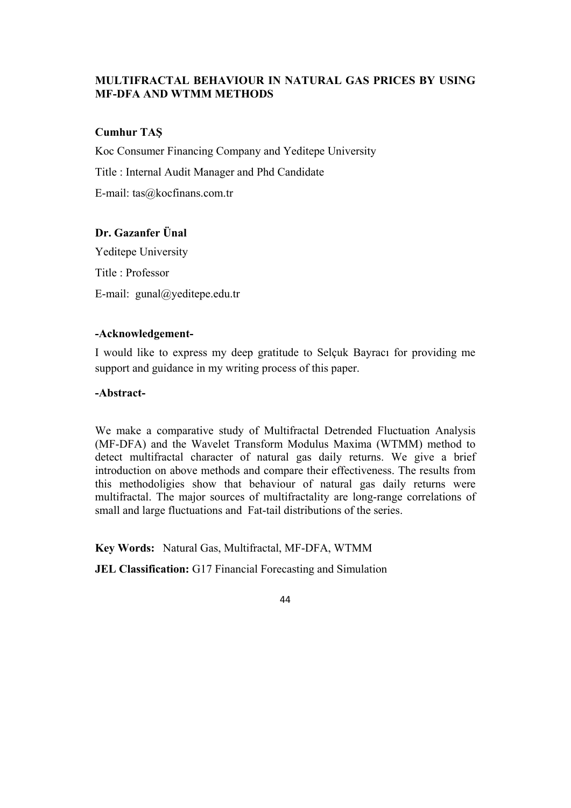## **MULTIFRACTAL BEHAVIOUR IN NATURAL GAS PRICES BY USING MF-DFA AND WTMM METHODS**

### **Cumhur TAŞ**

Koc Consumer Financing Company and Yeditepe University

Title : Internal Audit Manager and Phd Candidate

E-mail: tas@kocfinans.com.tr

# **Dr. Gazanfer Ünal**

Yeditepe University Title : Professor E-mail: gunal@yeditepe.edu.tr

## **-Acknowledgement-**

I would like to express my deep gratitude to Selçuk Bayracı for providing me support and guidance in my writing process of this paper.

### **-Abstract-**

We make a comparative study of Multifractal Detrended Fluctuation Analysis (MF-DFA) and the Wavelet Transform Modulus Maxima (WTMM) method to detect multifractal character of natural gas daily returns. We give a brief introduction on above methods and compare their effectiveness. The results from this methodoligies show that behaviour of natural gas daily returns were multifractal. The major sources of multifractality are long-range correlations of small and large fluctuations and Fat-tail distributions of the series.

**Key Words:** Natural Gas, Multifractal, MF-DFA, WTMM

**JEL Classification:** G17 Financial Forecasting and Simulation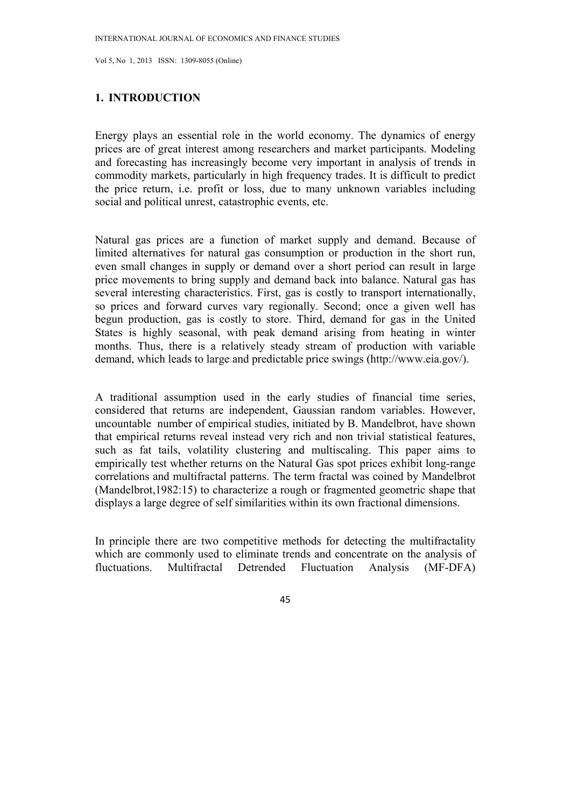#### **1. INTRODUCTION**

Energy plays an essential role in the world economy. The dynamics of energy prices are of great interest among researchers and market participants. Modeling and forecasting has increasingly become very important in analysis of trends in commodity markets, particularly in high frequency trades. It is difficult to predict the price return, i.e. profit or loss, due to many unknown variables including social and political unrest, catastrophic events, etc.

Natural gas prices are a function of market supply and demand. Because of limited alternatives for natural gas consumption or production in the short run, even small changes in supply or demand over a short period can result in large price movements to bring supply and demand back into balance. Natural gas has several interesting characteristics. First, gas is costly to transport internationally, so prices and forward curves vary regionally. Second; once a given well has begun production, gas is costly to store. Third, demand for gas in the United States is highly seasonal, with peak demand arising from heating in winter months. Thus, there is a relatively steady stream of production with variable demand, which leads to large and predictable price swings (http://www.eia.gov/).

A traditional assumption used in the early studies of financial time series, considered that returns are independent, Gaussian random variables. However, uncountable number of empirical studies, initiated by B. Mandelbrot, have shown that empirical returns reveal instead very rich and non trivial statistical features, such as fat tails, volatility clustering and multiscaling. This paper aims to empirically test whether returns on the Natural Gas spot prices exhibit long-range correlations and multifractal patterns. The term fractal was coined by Mandelbrot (Mandelbrot,1982:15) to characterize a rough or fragmented geometric shape that displays a large degree of self similarities within its own fractional dimensions.

In principle there are two competitive methods for detecting the multifractality which are commonly used to eliminate trends and concentrate on the analysis of fluctuations. Multifractal Detrended Fluctuation Analysis (MF-DFA)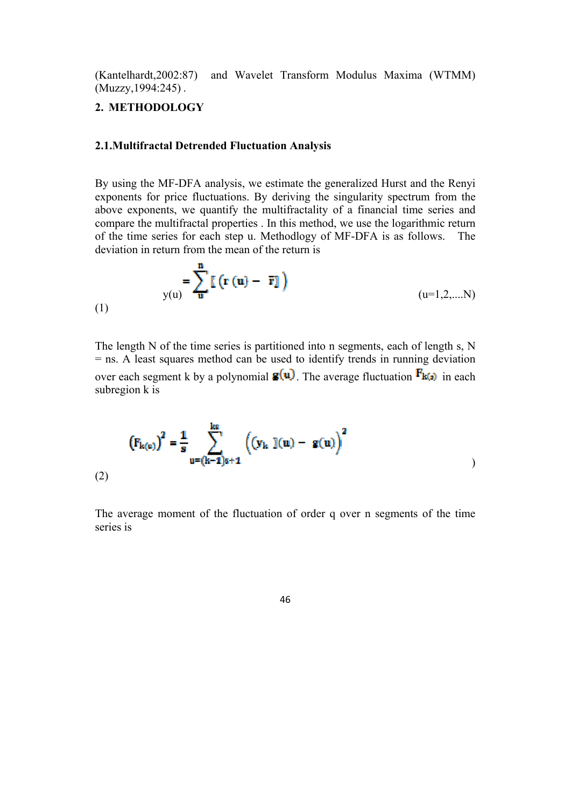(Kantelhardt,2002:87) and Wavelet Transform Modulus Maxima (WTMM) (Muzzy,1994:245) .

### **2. METHODOLOGY**

### **2.1.Multifractal Detrended Fluctuation Analysis**

By using the MF-DFA analysis, we estimate the generalized Hurst and the Renyi exponents for price fluctuations. By deriving the singularity spectrum from the above exponents, we quantify the multifractality of a financial time series and compare the multifractal properties . In this method, we use the logarithmic return of the time series for each step u. Methodlogy of MF-DFA is as follows. The deviation in return from the mean of the return is

$$
y(u) = \sum_{\mathbf{u}}^{\mathbf{u}} \left[ \mathbf{r} \left( \mathbf{u} \right) - \overline{\mathbf{r}} \right] \right)
$$
\n(1)

The length N of the time series is partitioned into n segments, each of length s, N = ns. A least squares method can be used to identify trends in running deviation over each segment k by a polynomial  $\mathbf{g}(\mathbf{u})$ . The average fluctuation  $\mathbf{F}_{\mathbf{k}(\mathbf{s})}$  in each subregion k is

$$
\left(F_{k(e)}\right)^{2} = \frac{1}{s} \sum_{u=(k-1)s+1}^{ks} \left( \left(y_{k} \right) (u) - g(u) \right)^{2}
$$
\n(2)

The average moment of the fluctuation of order q over n segments of the time series is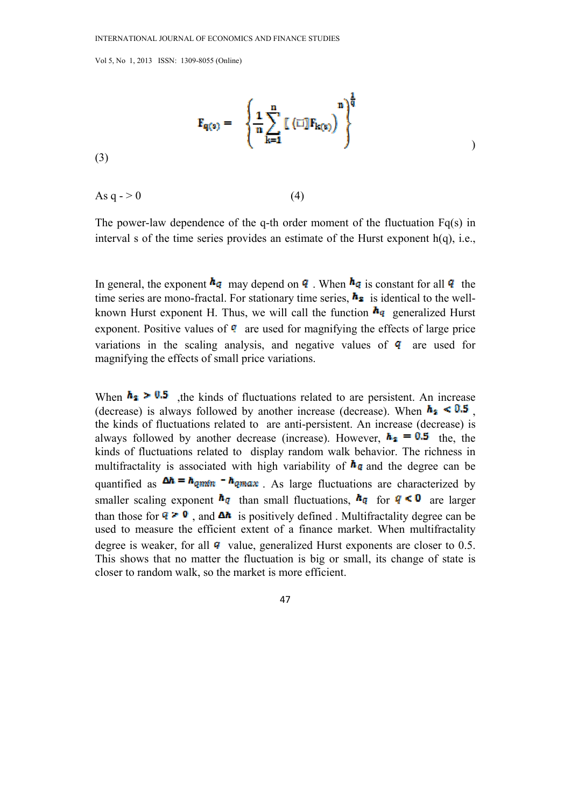$$
F_{q(s)} = \left.\begin{cases} \frac{1}{n} \displaystyle\sum_{k=1}^n \left[\begin{smallmatrix} (\mathbb{I} \mathbb{I}] F_{k(s)} \end{smallmatrix}\right]^{\frac{1}{q}} \end{cases}\right)
$$

(3)

As  $q \rightarrow 0$  (4)

The power-law dependence of the q-th order moment of the fluctuation Fq(s) in interval s of the time series provides an estimate of the Hurst exponent  $h(q)$ , i.e.,

In general, the exponent  $\mathbf{h}_q$  may depend on **q**. When  $\mathbf{h}_q$  is constant for all **q** the time series are mono-fractal. For stationary time series,  $\mathbf{h}_2$  is identical to the wellknown Hurst exponent H. Thus, we will call the function  $h_q$  generalized Hurst exponent. Positive values of  $\mathbf{\Phi}$  are used for magnifying the effects of large price variations in the scaling analysis, and negative values of  $q$  are used for magnifying the effects of small price variations.

When  $h_2 > 0.5$ , the kinds of fluctuations related to are persistent. An increase (decrease) is always followed by another increase (decrease). When  $h_2 \le 0.5$ , the kinds of fluctuations related to are anti-persistent. An increase (decrease) is always followed by another decrease (increase). However,  $\mathbf{h}_2 = 0.5$  the, the kinds of fluctuations related to display random walk behavior. The richness in multifractality is associated with high variability of  $\mathbf{h}_q$  and the degree can be quantified as  $\Delta h = h_{qmin} - h_{qmax}$ . As large fluctuations are characterized by smaller scaling exponent  $h_q$  than small fluctuations,  $h_q$  for  $q < 0$  are larger than those for  $\mathbf{Q} \geq \mathbf{0}$ , and  $\Delta h$  is positively defined. Multifractality degree can be used to measure the efficient extent of a finance market. When multifractality degree is weaker, for all  $\bf{q}$  value, generalized Hurst exponents are closer to 0.5. This shows that no matter the fluctuation is big or small, its change of state is closer to random walk, so the market is more efficient.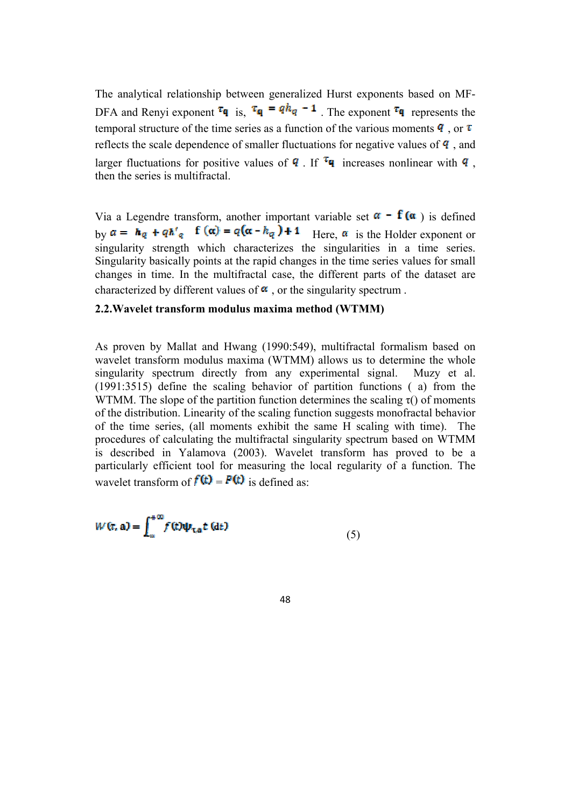The analytical relationship between generalized Hurst exponents based on MF-DFA and Renyi exponent  $\tau_q$  is,  $\tau_q = q h_q - 1$ . The exponent  $\tau_q$  represents the temporal structure of the time series as a function of the various moments  $\bf{q}$ , or  $\bf{\tau}$ reflects the scale dependence of smaller fluctuations for negative values of  $q$ , and larger fluctuations for positive values of **q**. If  $^{\tau}$ **q** increases nonlinear with **q**, then the series is multifractal.

Via a Legendre transform, another important variable set  $\alpha - f(\alpha)$  is defined by  $a = h_q + q h'_q$  **f**  $(\alpha) = q(\alpha - h_q) + 1$  Here,  $\alpha$  is the Holder exponent or singularity strength which characterizes the singularities in a time series. Singularity basically points at the rapid changes in the time series values for small changes in time. In the multifractal case, the different parts of the dataset are characterized by different values of  $\alpha$ , or the singularity spectrum.

### **2.2.Wavelet transform modulus maxima method (WTMM)**

As proven by Mallat and Hwang (1990:549), multifractal formalism based on wavelet transform modulus maxima (WTMM) allows us to determine the whole singularity spectrum directly from any experimental signal. Muzy et al. (1991:3515) define the scaling behavior of partition functions ( a) from the WTMM. The slope of the partition function determines the scaling  $\tau$ () of moments of the distribution. Linearity of the scaling function suggests monofractal behavior of the time series, (all moments exhibit the same H scaling with time). The procedures of calculating the multifractal singularity spectrum based on WTMM is described in Yalamova (2003). Wavelet transform has proved to be a particularly efficient tool for measuring the local regularity of a function. The wavelet transform of  $f(t) = F(t)$  is defined as:

$$
W(\tau, \mathbf{a}) = \int_{-\infty}^{+\infty} f(t) \psi_{\tau, \mathbf{a}} t(\mathbf{d}t)
$$
\n(5)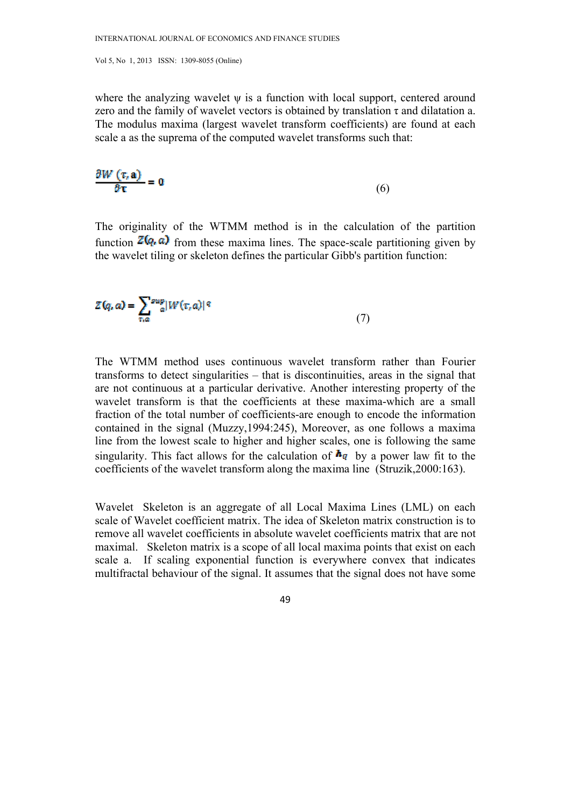where the analyzing wavelet  $\psi$  is a function with local support, centered around zero and the family of wavelet vectors is obtained by translation  $\tau$  and dilatation a. The modulus maxima (largest wavelet transform coefficients) are found at each scale a as the suprema of the computed wavelet transforms such that:

$$
\frac{\partial W\left(\tau,\mathbf{a}\right)}{\partial \mathbf{r}} = \mathbf{0} \tag{6}
$$

The originality of the WTMM method is in the calculation of the partition function  $\mathbb{Z}(q, a)$  from these maxima lines. The space-scale partitioning given by the wavelet tiling or skeleton defines the particular Gibb's partition function:

$$
Z(q, a) = \sum_{\tau, a} \frac{\text{sup}}{a} |W(\tau, a)|^q \tag{7}
$$

The WTMM method uses continuous wavelet transform rather than Fourier transforms to detect singularities – that is discontinuities, areas in the signal that are not continuous at a particular derivative. Another interesting property of the wavelet transform is that the coefficients at these maxima-which are a small fraction of the total number of coefficients-are enough to encode the information contained in the signal (Muzzy,1994:245), Moreover, as one follows a maxima line from the lowest scale to higher and higher scales, one is following the same singularity. This fact allows for the calculation of  $\mathbf{h}_q$  by a power law fit to the coefficients of the wavelet transform along the maxima line (Struzik,2000:163).

Wavelet Skeleton is an aggregate of all Local Maxima Lines (LML) on each scale of Wavelet coefficient matrix. The idea of Skeleton matrix construction is to remove all wavelet coefficients in absolute wavelet coefficients matrix that are not maximal. Skeleton matrix is a scope of all local maxima points that exist on each scale a. If scaling exponential function is everywhere convex that indicates multifractal behaviour of the signal. It assumes that the signal does not have some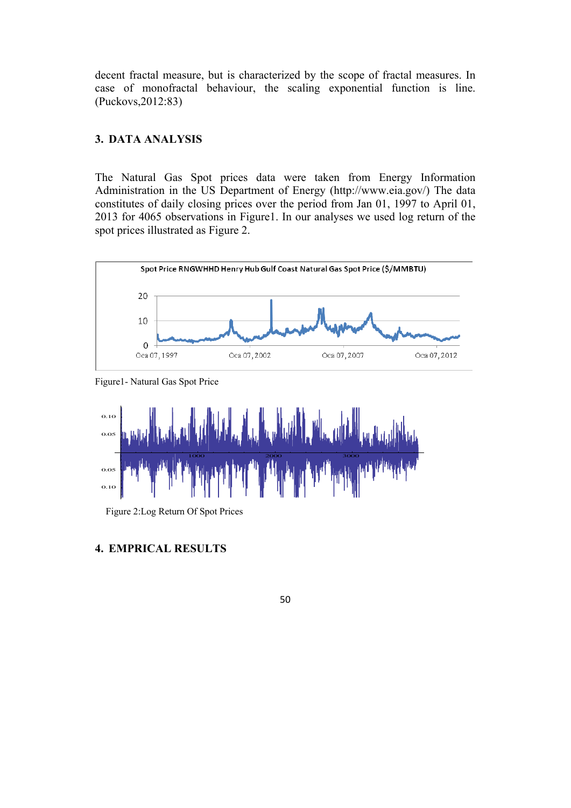decent fractal measure, but is characterized by the scope of fractal measures. In case of monofractal behaviour, the scaling exponential function is line. (Puckovs,2012:83)

#### **3. DATA ANALYSIS**

The Natural Gas Spot prices data were taken from Energy Information Administration in the US Department of Energy (http://www.eia.gov/) The data constitutes of daily closing prices over the period from Jan 01, 1997 to April 01, 2013 for 4065 observations in Figure1. In our analyses we used log return of the spot prices illustrated as Figure 2.



Figure1- Natural Gas Spot Price



Figure 2:Log Return Of Spot Prices

### **4. EMPRICAL RESULTS**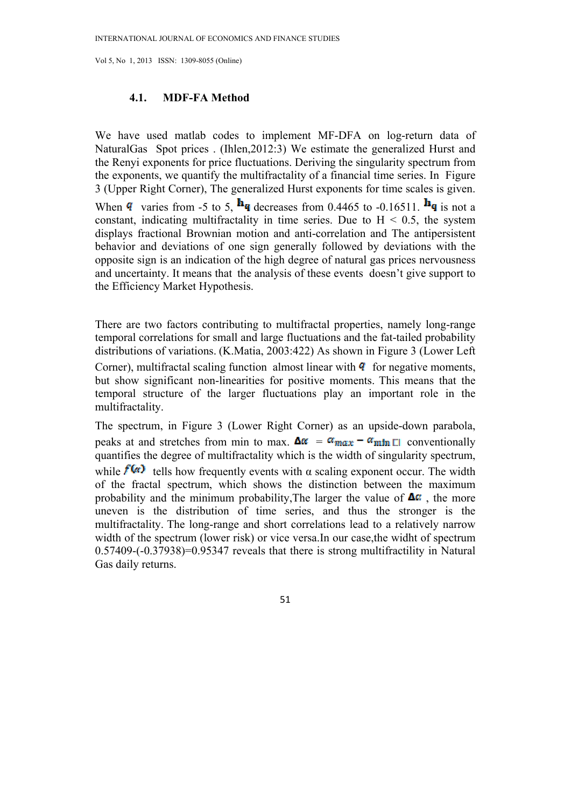#### **4.1. MDF-FA Method**

We have used matlab codes to implement MF-DFA on log-return data of NaturalGas Spot prices . (Ihlen,2012:3) We estimate the generalized Hurst and the Renyi exponents for price fluctuations. Deriving the singularity spectrum from the exponents, we quantify the multifractality of a financial time series. In Figure 3 (Upper Right Corner), The generalized Hurst exponents for time scales is given.

When **q** varies from -5 to 5,  $\mathbf{h}_{q}$  decreases from 0.4465 to -0.16511.  $\mathbf{h}_{q}$  is not a constant, indicating multifractality in time series. Due to  $H < 0.5$ , the system displays fractional Brownian motion and anti-correlation and The antipersistent behavior and deviations of one sign generally followed by deviations with the opposite sign is an indication of the high degree of natural gas prices nervousness and uncertainty. It means that the analysis of these events doesn't give support to the Efficiency Market Hypothesis.

There are two factors contributing to multifractal properties, namely long-range temporal correlations for small and large fluctuations and the fat-tailed probability distributions of variations. (K.Matia, 2003:422) As shown in Figure 3 (Lower Left Corner), multifractal scaling function almost linear with  $\bf{q}$  for negative moments, but show significant non-linearities for positive moments. This means that the temporal structure of the larger fluctuations play an important role in the multifractality.

The spectrum, in Figure 3 (Lower Right Corner) as an upside-down parabola, peaks at and stretches from min to max.  $\Delta \alpha = \alpha_{\text{max}} - \alpha_{\text{min}}$  conventionally quantifies the degree of multifractality which is the width of singularity spectrum, while  $f(x)$  tells how frequently events with  $\alpha$  scaling exponent occur. The width of the fractal spectrum, which shows the distinction between the maximum probability and the minimum probability, The larger the value of  $\Delta \alpha$ , the more uneven is the distribution of time series, and thus the stronger is the multifractality. The long-range and short correlations lead to a relatively narrow width of the spectrum (lower risk) or vice versa.In our case, the widht of spectrum 0.57409-(-0.37938)=0.95347 reveals that there is strong multifractility in Natural Gas daily returns.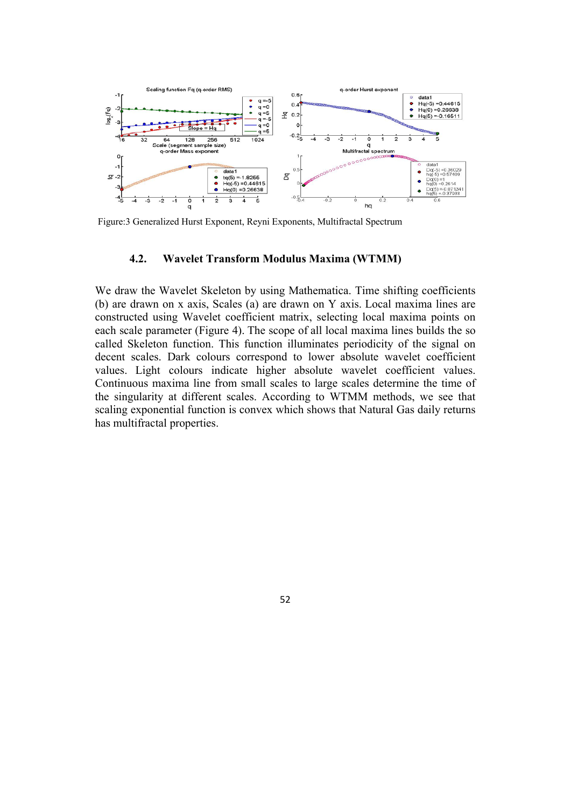

Figure:3 Generalized Hurst Exponent, Reyni Exponents, Multifractal Spectrum

#### **4.2. Wavelet Transform Modulus Maxima (WTMM)**

We draw the Wavelet Skeleton by using Mathematica. Time shifting coefficients (b) are drawn on x axis, Scales (a) are drawn on Y axis. Local maxima lines are constructed using Wavelet coefficient matrix, selecting local maxima points on each scale parameter (Figure 4). The scope of all local maxima lines builds the so called Skeleton function. This function illuminates periodicity of the signal on decent scales. Dark colours correspond to lower absolute wavelet coefficient values. Light colours indicate higher absolute wavelet coefficient values. Continuous maxima line from small scales to large scales determine the time of the singularity at different scales. According to WTMM methods, we see that scaling exponential function is convex which shows that Natural Gas daily returns has multifractal properties.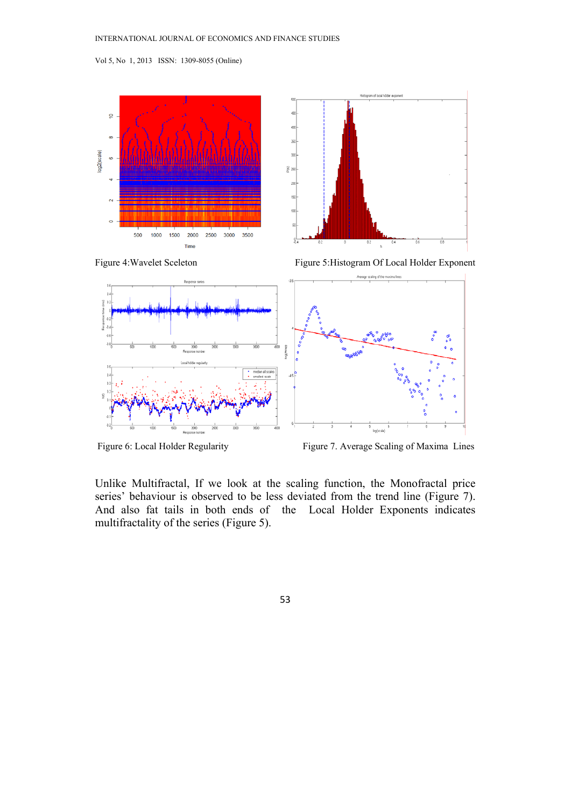







Figure 6: Local Holder Regularity Figure 7. Average Scaling of Maxima Lines

Unlike Multifractal, If we look at the scaling function, the Monofractal price series' behaviour is observed to be less deviated from the trend line (Figure 7). And also fat tails in both ends of the Local Holder Exponents indicates multifractality of the series (Figure 5).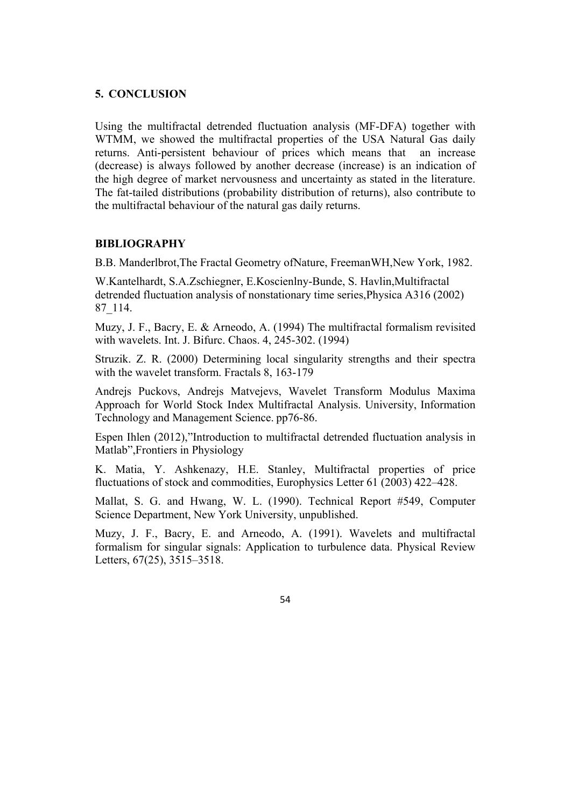### **5. CONCLUSION**

Using the multifractal detrended fluctuation analysis (MF-DFA) together with WTMM, we showed the multifractal properties of the USA Natural Gas daily returns. Anti-persistent behaviour of prices which means that an increase (decrease) is always followed by another decrease (increase) is an indication of the high degree of market nervousness and uncertainty as stated in the literature. The fat-tailed distributions (probability distribution of returns), also contribute to the multifractal behaviour of the natural gas daily returns.

#### **BIBLIOGRAPHY**

B.B. Manderlbrot,The Fractal Geometry ofNature, FreemanWH,New York, 1982.

W.Kantelhardt, S.A.Zschiegner, E.Koscienlny-Bunde, S. Havlin,Multifractal detrended fluctuation analysis of nonstationary time series,Physica A316 (2002) 87\_114.

Muzy, J. F., Bacry, E. & Arneodo, A. (1994) The multifractal formalism revisited with wavelets. Int. J. Bifurc. Chaos. 4, 245-302. (1994)

Struzik. Z. R. (2000) Determining local singularity strengths and their spectra with the wavelet transform. Fractals 8, 163-179

Andrejs Puckovs, Andrejs Matvejevs, Wavelet Transform Modulus Maxima Approach for World Stock Index Multifractal Analysis. University, Information Technology and Management Science. pp76-86.

Espen Ihlen (2012),"Introduction to multifractal detrended fluctuation analysis in Matlab",Frontiers in Physiology

K. Matia, Y. Ashkenazy, H.E. Stanley, Multifractal properties of price fluctuations of stock and commodities, Europhysics Letter 61 (2003) 422–428.

Mallat, S. G. and Hwang, W. L. (1990). Technical Report #549, Computer Science Department, New York University, unpublished.

Muzy, J. F., Bacry, E. and Arneodo, A. (1991). Wavelets and multifractal formalism for singular signals: Application to turbulence data. Physical Review Letters, 67(25), 3515–3518.